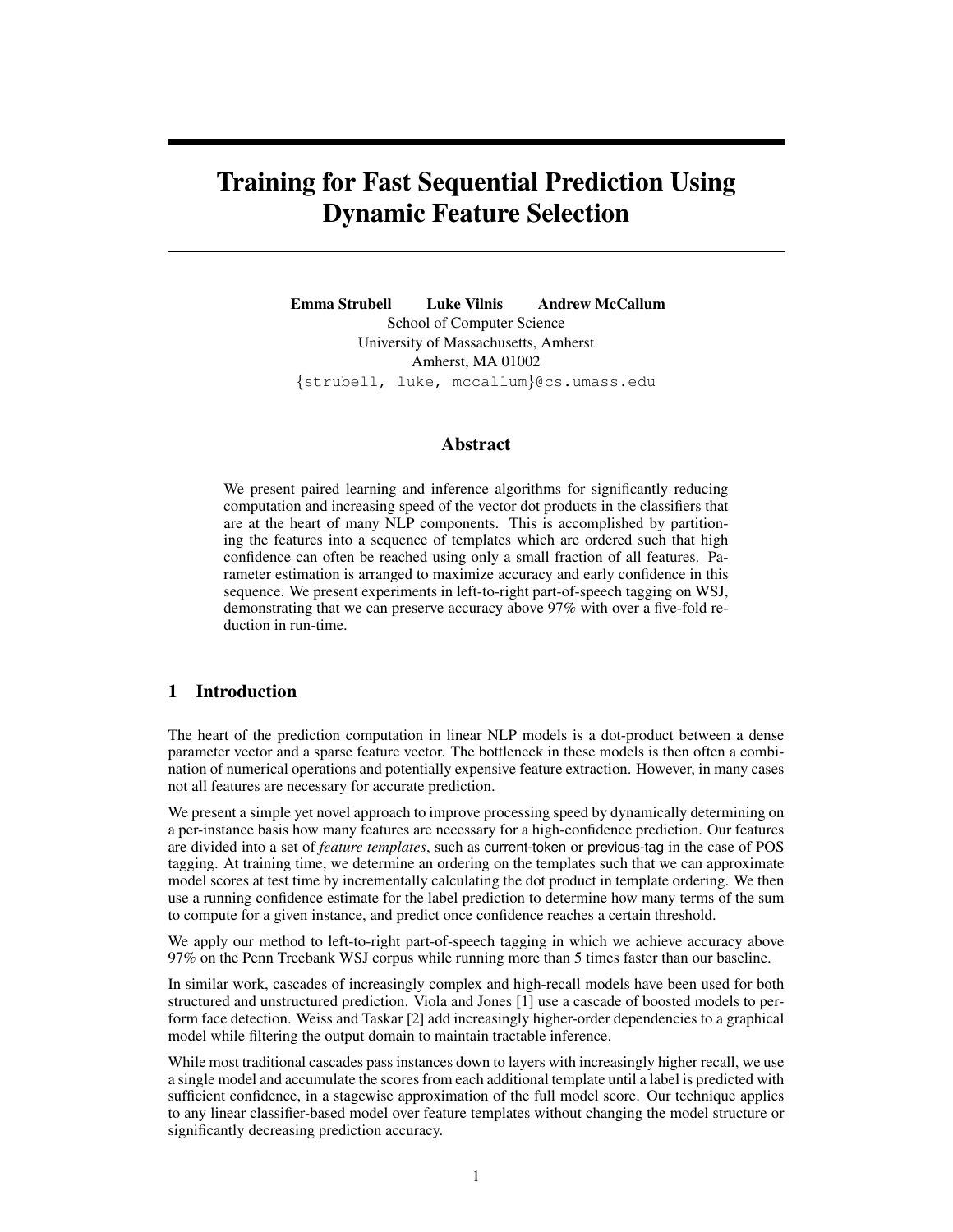# Training for Fast Sequential Prediction Using Dynamic Feature Selection

Emma Strubell Luke Vilnis Andrew McCallum School of Computer Science University of Massachusetts, Amherst Amherst, MA 01002 {strubell, luke, mccallum}@cs.umass.edu

# Abstract

We present paired learning and inference algorithms for significantly reducing computation and increasing speed of the vector dot products in the classifiers that are at the heart of many NLP components. This is accomplished by partitioning the features into a sequence of templates which are ordered such that high confidence can often be reached using only a small fraction of all features. Parameter estimation is arranged to maximize accuracy and early confidence in this sequence. We present experiments in left-to-right part-of-speech tagging on WSJ, demonstrating that we can preserve accuracy above 97% with over a five-fold reduction in run-time.

# 1 Introduction

The heart of the prediction computation in linear NLP models is a dot-product between a dense parameter vector and a sparse feature vector. The bottleneck in these models is then often a combination of numerical operations and potentially expensive feature extraction. However, in many cases not all features are necessary for accurate prediction.

We present a simple yet novel approach to improve processing speed by dynamically determining on a per-instance basis how many features are necessary for a high-confidence prediction. Our features are divided into a set of *feature templates*, such as current-token or previous-tag in the case of POS tagging. At training time, we determine an ordering on the templates such that we can approximate model scores at test time by incrementally calculating the dot product in template ordering. We then use a running confidence estimate for the label prediction to determine how many terms of the sum to compute for a given instance, and predict once confidence reaches a certain threshold.

We apply our method to left-to-right part-of-speech tagging in which we achieve accuracy above 97% on the Penn Treebank WSJ corpus while running more than 5 times faster than our baseline.

In similar work, cascades of increasingly complex and high-recall models have been used for both structured and unstructured prediction. Viola and Jones [1] use a cascade of boosted models to perform face detection. Weiss and Taskar [2] add increasingly higher-order dependencies to a graphical model while filtering the output domain to maintain tractable inference.

While most traditional cascades pass instances down to layers with increasingly higher recall, we use a single model and accumulate the scores from each additional template until a label is predicted with sufficient confidence, in a stagewise approximation of the full model score. Our technique applies to any linear classifier-based model over feature templates without changing the model structure or significantly decreasing prediction accuracy.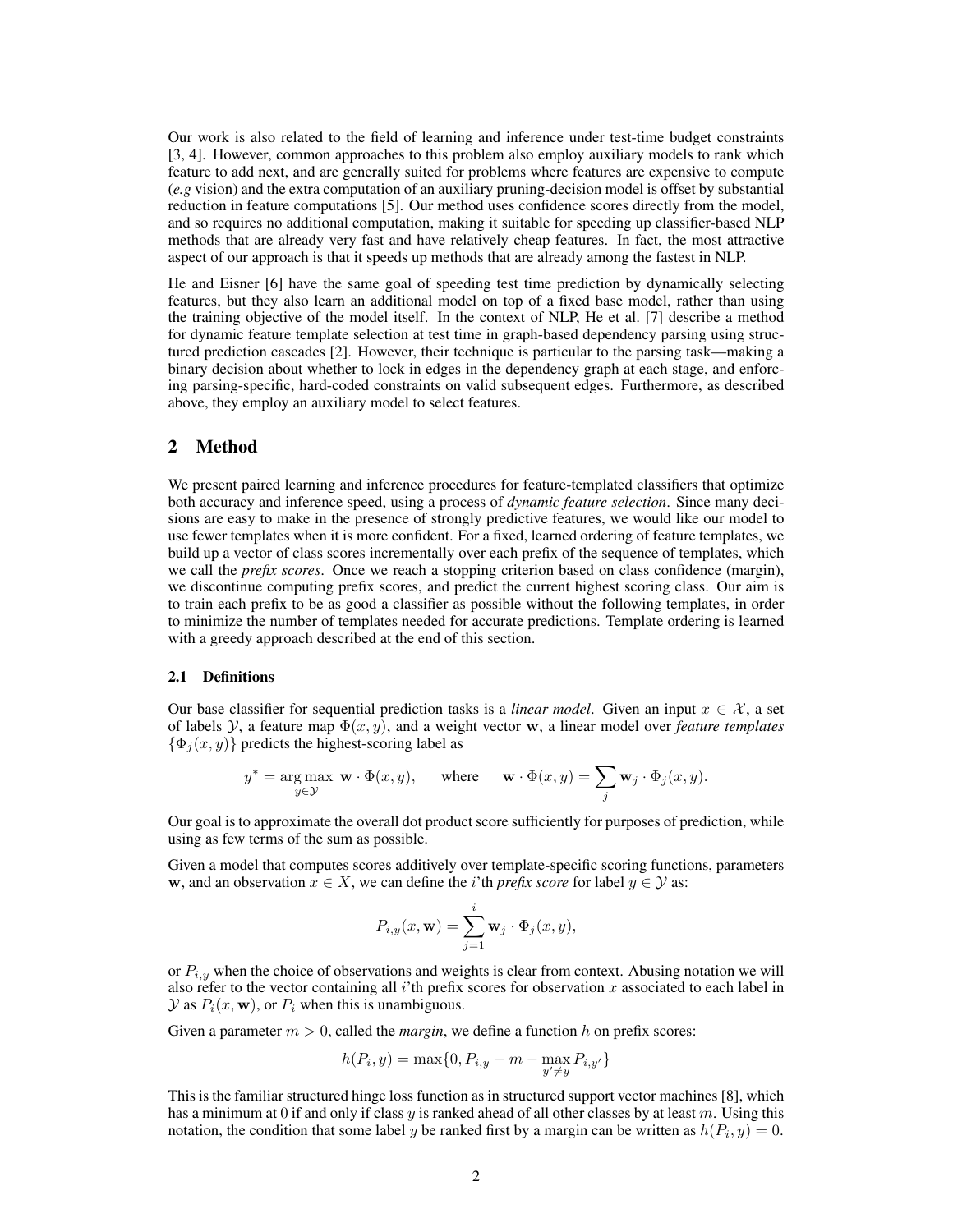Our work is also related to the field of learning and inference under test-time budget constraints [3, 4]. However, common approaches to this problem also employ auxiliary models to rank which feature to add next, and are generally suited for problems where features are expensive to compute (*e.g* vision) and the extra computation of an auxiliary pruning-decision model is offset by substantial reduction in feature computations [5]. Our method uses confidence scores directly from the model, and so requires no additional computation, making it suitable for speeding up classifier-based NLP methods that are already very fast and have relatively cheap features. In fact, the most attractive aspect of our approach is that it speeds up methods that are already among the fastest in NLP.

He and Eisner [6] have the same goal of speeding test time prediction by dynamically selecting features, but they also learn an additional model on top of a fixed base model, rather than using the training objective of the model itself. In the context of NLP, He et al. [7] describe a method for dynamic feature template selection at test time in graph-based dependency parsing using structured prediction cascades [2]. However, their technique is particular to the parsing task—making a binary decision about whether to lock in edges in the dependency graph at each stage, and enforcing parsing-specific, hard-coded constraints on valid subsequent edges. Furthermore, as described above, they employ an auxiliary model to select features.

## 2 Method

We present paired learning and inference procedures for feature-templated classifiers that optimize both accuracy and inference speed, using a process of *dynamic feature selection*. Since many decisions are easy to make in the presence of strongly predictive features, we would like our model to use fewer templates when it is more confident. For a fixed, learned ordering of feature templates, we build up a vector of class scores incrementally over each prefix of the sequence of templates, which we call the *prefix scores*. Once we reach a stopping criterion based on class confidence (margin), we discontinue computing prefix scores, and predict the current highest scoring class. Our aim is to train each prefix to be as good a classifier as possible without the following templates, in order to minimize the number of templates needed for accurate predictions. Template ordering is learned with a greedy approach described at the end of this section.

#### 2.1 Definitions

Our base classifier for sequential prediction tasks is a *linear model*. Given an input  $x \in \mathcal{X}$ , a set of labels  $\mathcal{Y}$ , a feature map  $\Phi(x, y)$ , and a weight vector w, a linear model over *feature templates*  $\{\Phi_i(x, y)\}\$  predicts the highest-scoring label as

$$
y^* = \underset{y \in \mathcal{Y}}{\arg \max} \mathbf{w} \cdot \Phi(x, y), \quad \text{where} \quad \mathbf{w} \cdot \Phi(x, y) = \sum_j \mathbf{w}_j \cdot \Phi_j(x, y).
$$

Our goal is to approximate the overall dot product score sufficiently for purposes of prediction, while using as few terms of the sum as possible.

Given a model that computes scores additively over template-specific scoring functions, parameters w, and an observation  $x \in X$ , we can define the *i*'th *prefix score* for label  $y \in Y$  as:

$$
P_{i,y}(x,\mathbf{w})=\sum_{j=1}^i\mathbf{w}_j\cdot\Phi_j(x,y),
$$

or  $P_{i,y}$  when the choice of observations and weights is clear from context. Abusing notation we will also refer to the vector containing all i'th prefix scores for observation  $x$  associated to each label in  $\mathcal Y$  as  $P_i(x, \mathbf w)$ , or  $P_i$  when this is unambiguous.

Given a parameter  $m > 0$ , called the *margin*, we define a function h on prefix scores:

$$
h(P_i, y) = \max\{0, P_{i,y} - m - \max_{y' \neq y} P_{i,y'}\}
$$

This is the familiar structured hinge loss function as in structured support vector machines [8], which has a minimum at 0 if and only if class  $y$  is ranked ahead of all other classes by at least  $m$ . Using this notation, the condition that some label y be ranked first by a margin can be written as  $h(P_i, y) = 0$ .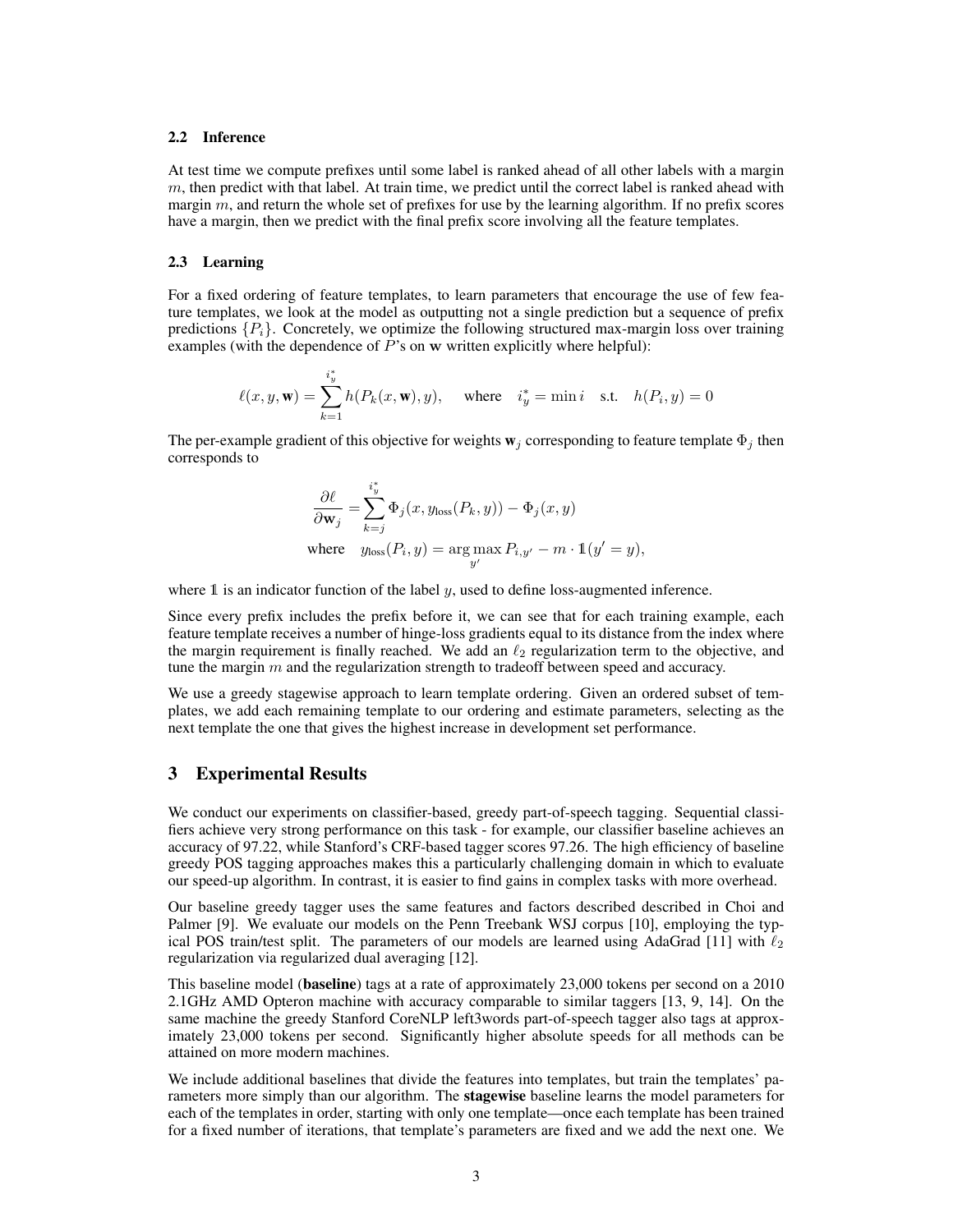### 2.2 Inference

At test time we compute prefixes until some label is ranked ahead of all other labels with a margin  $m$ , then predict with that label. At train time, we predict until the correct label is ranked ahead with margin  $m$ , and return the whole set of prefixes for use by the learning algorithm. If no prefix scores have a margin, then we predict with the final prefix score involving all the feature templates.

#### 2.3 Learning

For a fixed ordering of feature templates, to learn parameters that encourage the use of few feature templates, we look at the model as outputting not a single prediction but a sequence of prefix predictions  $\{P_i\}$ . Concretely, we optimize the following structured max-margin loss over training examples (with the dependence of  $P$ 's on w written explicitly where helpful):

$$
\ell(x, y, \mathbf{w}) = \sum_{k=1}^{i_y^*} h(P_k(x, \mathbf{w}), y), \quad \text{where} \quad i_y^* = \min i \quad \text{s.t.} \quad h(P_i, y) = 0
$$

The per-example gradient of this objective for weights  $w_i$  corresponding to feature template  $\Phi_i$  then corresponds to

$$
\frac{\partial \ell}{\partial \mathbf{w}_j} = \sum_{k=j}^{i^*_{y}} \Phi_j(x, y_{\text{loss}}(P_k, y)) - \Phi_j(x, y)
$$
\nwhere  $y_{\text{loss}}(P_i, y) = \arg \max_{y'} P_{i, y'} - m \cdot \mathbb{1}(y' = y),$ 

where  $\mathbb 1$  is an indicator function of the label y, used to define loss-augmented inference.

Since every prefix includes the prefix before it, we can see that for each training example, each feature template receives a number of hinge-loss gradients equal to its distance from the index where the margin requirement is finally reached. We add an  $\ell_2$  regularization term to the objective, and tune the margin  $m$  and the regularization strength to tradeoff between speed and accuracy.

We use a greedy stagewise approach to learn template ordering. Given an ordered subset of templates, we add each remaining template to our ordering and estimate parameters, selecting as the next template the one that gives the highest increase in development set performance.

## 3 Experimental Results

We conduct our experiments on classifier-based, greedy part-of-speech tagging. Sequential classifiers achieve very strong performance on this task - for example, our classifier baseline achieves an accuracy of 97.22, while Stanford's CRF-based tagger scores 97.26. The high efficiency of baseline greedy POS tagging approaches makes this a particularly challenging domain in which to evaluate our speed-up algorithm. In contrast, it is easier to find gains in complex tasks with more overhead.

Our baseline greedy tagger uses the same features and factors described described in Choi and Palmer [9]. We evaluate our models on the Penn Treebank WSJ corpus [10], employing the typical POS train/test split. The parameters of our models are learned using AdaGrad [11] with  $\ell_2$ regularization via regularized dual averaging [12].

This baseline model (baseline) tags at a rate of approximately 23,000 tokens per second on a 2010 2.1GHz AMD Opteron machine with accuracy comparable to similar taggers [13, 9, 14]. On the same machine the greedy Stanford CoreNLP left3words part-of-speech tagger also tags at approximately 23,000 tokens per second. Significantly higher absolute speeds for all methods can be attained on more modern machines.

We include additional baselines that divide the features into templates, but train the templates' parameters more simply than our algorithm. The **stagewise** baseline learns the model parameters for each of the templates in order, starting with only one template—once each template has been trained for a fixed number of iterations, that template's parameters are fixed and we add the next one. We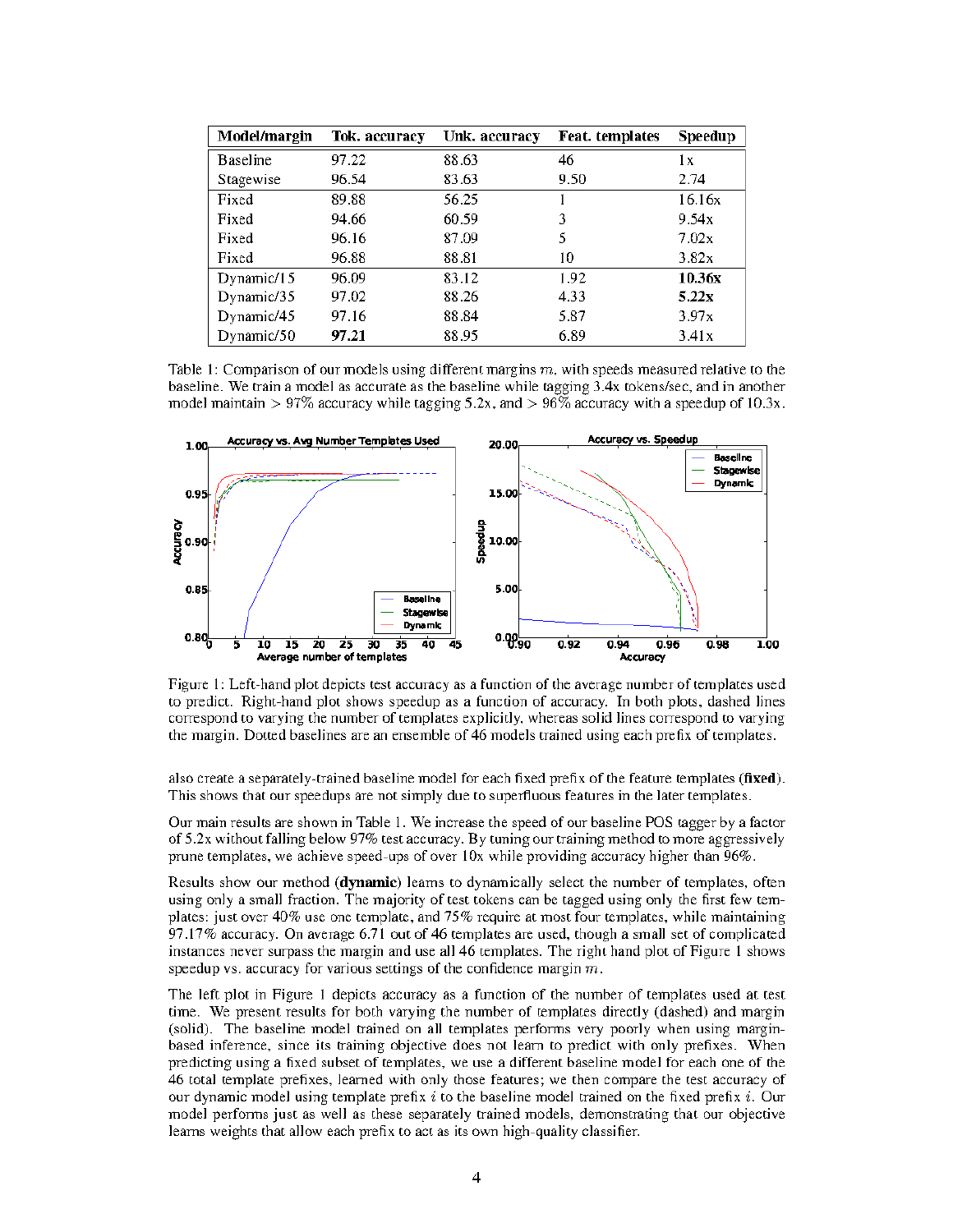| <b>Model/margin</b> | Tok. accuracy | Unk. accuracy | <b>Feat.</b> templates | Speedup |
|---------------------|---------------|---------------|------------------------|---------|
| <b>Baseline</b>     | 97.22         | 88.63         | 46                     | lх      |
| Stagewise           | 96.54         | 83.63         | 9.50                   | 2.74    |
| Fixed               | 89.88         | 56.25         |                        | 16.16x  |
| Fixed               | 94.66         | 60.59         | 3                      | 9.54x   |
| Fixed               | 96.16         | 87.09         | 5                      | 7.02x   |
| Fixed               | 96.88         | 88.81         | 10                     | 3.82x   |
| Dynamic/15          | 96.09         | 83.12         | 1.92                   | 10.36x  |
| Dynamic/35          | 97.02         | 88.26         | 4.33                   | 5.22x   |
| Dynamic/45          | 97.16         | 88.84         | 5.87                   | 3.97x   |
| Dynamic/50          | 97.21         | 88.95         | 6.89                   | 3.41x   |

Table 1: Comparison of our models using different margins  $m$ , with speeds measured relative to the baseline. We train a model as accurate as the baseline while tagging 3.4x tokens/sec, and in another model maintain > 97% accuracy while tagging  $5.2x$ , and > 96% accuracy with a speedup of 10.3x.



Figure 1: Left-hand plot depicts test accuracy as a function of the average number of templates used to predict. Right-hand plot shows speedup as a function of accuracy. In both plots, dashed lines correspond to varying the number of templates explicitly, whereas solid lines correspond to varying the margin. Dotted baselines are an ensemble of 46 models trained using each prefix of templates.

also create a separately-trained baseline model for each fixed prefix of the feature templates (fixed). This shows that our speedups are not simply due to superfluous features in the later templates.

Our main results are shown in Table 1. We increase the speed of our baseline POS tagger by a factor of 5.2x without falling below  $97\%$  test accuracy. By tuning our training method to more aggressively prune templates, we achieve speed-ups of over 10x while providing accuracy higher than 96%.

Results show our method (dynamic) learns to dynamically select the number of templates, often using only a small fraction. The majority of test tokens can be tagged using only the first few templates: just over  $40\%$  use one template, and  $75\%$  require at most four templates, while maintaining 97.17% accuracy. On average 6.71 out of 46 templates are used, though a small set of complicated instances never surpass the margin and use all 46 templates. The right hand plot of Figure 1 shows speedup vs. accuracy for various settings of the confidence margin  $m$ .

The left plot in Figure 1 depicts accuracy as a function of the number of templates used at test time. We present results for both varying the number of templates directly (dashed) and margin (solid). The baseline model trained on all templates performs very poorly when using marginbased inference, since its training objective does not learn to predict with only prefixes. When predicting using a fixed subset of templates, we use a different baseline model for each one of the 46 total template prefixes, learned with only those features; we then compare the test accuracy of our dynamic model using template prefix  $i$  to the baseline model trained on the fixed prefix  $i$ . Our model performs just as well as these separately trained models, demonstrating that our objective learns weights that allow each prefix to act as its own high-quality classifier.